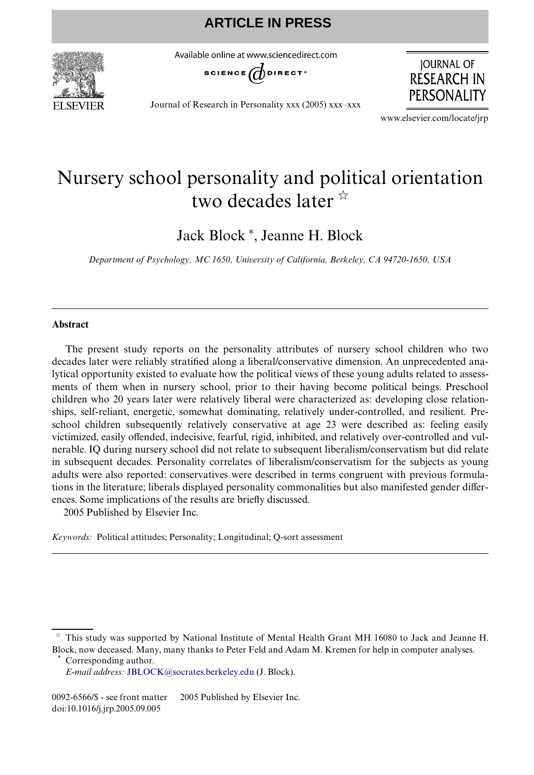

Available online at www.sciencedirect.com



**JOURNAL OF RESEARCH IN PERSONALITY** 

Journal of Research in Personality xxx (2005) xxx–xxx

www.elsevier.com/locate/jrp

# Nursery school personality and political orientation two decades later  $\frac{x}{x}$

Jack Block<sup>\*</sup>, Jeanne H. Block

*Department of Psychology, MC 1650, University of California, Berkeley, CA 94720-1650, USA*

### **Abstract**

The present study reports on the personality attributes of nursery school children who two decades later were reliably stratified along a liberal/conservative dimension. An unprecedented analytical opportunity existed to evaluate how the political views of these young adults related to assessments of them when in nursery school, prior to their having become political beings. Preschool children who 20 years later were relatively liberal were characterized as: developing close relationships, self-reliant, energetic, somewhat dominating, relatively under-controlled, and resilient. Preschool children subsequently relatively conservative at age 23 were described as: feeling easily victimized, easily offended, indecisive, fearful, rigid, inhibited, and relatively over-controlled and vulnerable. IQ during nursery school did not relate to subsequent liberalism/conservatism but did relate in subsequent decades. Personality correlates of liberalism/conservatism for the subjects as young adults were also reported: conservatives were described in terms congruent with previous formulations in the literature; liberals displayed personality commonalities but also manifested gender differences. Some implications of the results are briefly discussed. 2005 Published by Elsevier Inc.

*Keywords:* Political attitudes; Personality; Longitudinal; Q-sort assessment

Corresponding author.

 $\dot{\tau}$  This study was supported by National Institute of Mental Health Grant MH 16080 to Jack and Jeanne H. Block, now deceased. Many, many thanks to Peter Feld and Adam M. Kremen for help in computer analyses.

*E-mail address:* [JBLOCK@socrates.berkeley.edu](mailto: JBLOCK@socrates.berkeley.edu) (J. Block).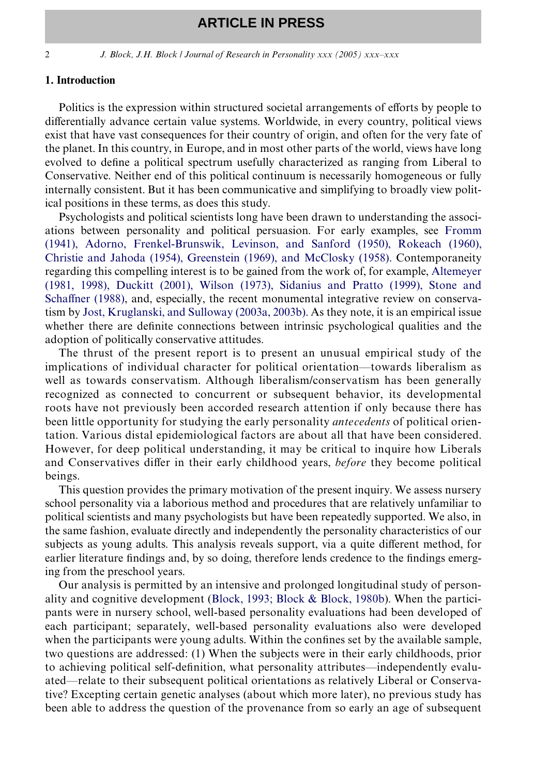2 *J. Block, J.H. Block / Journal of Research in Personality xxx (2005) xxx–xxx*

#### **1. Introduction**

Politics is the expression within structured societal arrangements of efforts by people to differentially advance certain value systems. Worldwide, in every country, political views exist that have vast consequences for their country of origin, and often for the very fate of the planet. In this country, in Europe, and in most other parts of the world, views have long evolved to define a political spectrum usefully characterized as ranging from Liberal to Conservative. Neither end of this political continuum is necessarily homogeneous or fully internally consistent. But it has been communicative and simplifying to broadly view political positions in these terms, as does this study.

Psychologists and political scientists long have been drawn to understanding the associations between personality and political persuasion. For early examples, see [Fromm](#page-14-0) [\(1941\), Adorno, Frenkel-Brunswik, Levinson, and Sanford \(1950\), Rokeach \(1960\),](#page-14-0) [Christie and Jahoda \(1954\), Greenstein \(1969\), and McClosky \(1958\).](#page-14-0) Contemporaneity regarding this compelling interest is to be gained from the work of, for example, [Altemeyer](#page-13-0) [\(1981, 1998\), Duckitt \(2001\), Wilson \(1973\), Sidanius and Pratto \(1999\), Stone and](#page-13-0) [Scha](#page-13-0)ff[ner \(1988\)](#page-13-0), and, especially, the recent monumental integrative review on conservatism by [Jost, Kruglanski, and Sulloway \(2003a, 2003b\)](#page-14-1). As they note, it is an empirical issue whether there are definite connections between intrinsic psychological qualities and the adoption of politically conservative attitudes.

The thrust of the present report is to present an unusual empirical study of the implications of individual character for political orientation—towards liberalism as well as towards conservatism. Although liberalism/conservatism has been generally recognized as connected to concurrent or subsequent behavior, its developmental roots have not previously been accorded research attention if only because there has been little opportunity for studying the early personality *antecedents* of political orientation. Various distal epidemiological factors are about all that have been considered. However, for deep political understanding, it may be critical to inquire how Liberals and Conservatives differ in their early childhood years, *before* they become political beings.

This question provides the primary motivation of the present inquiry. We assess nursery school personality via a laborious method and procedures that are relatively unfamiliar to political scientists and many psychologists but have been repeatedly supported. We also, in the same fashion, evaluate directly and independently the personality characteristics of our subjects as young adults. This analysis reveals support, via a quite different method, for earlier literature findings and, by so doing, therefore lends credence to the findings emerging from the preschool years.

Our analysis is permitted by an intensive and prolonged longitudinal study of personality and cognitive development ([Block, 1993; Block & Block, 1980b](#page-13-1)). When the participants were in nursery school, well-based personality evaluations had been developed of each participant; separately, well-based personality evaluations also were developed when the participants were young adults. Within the confines set by the available sample, two questions are addressed: (1) When the subjects were in their early childhoods, prior to achieving political self-definition, what personality attributes—independently evaluated—relate to their subsequent political orientations as relatively Liberal or Conservative? Excepting certain genetic analyses (about which more later), no previous study has been able to address the question of the provenance from so early an age of subsequent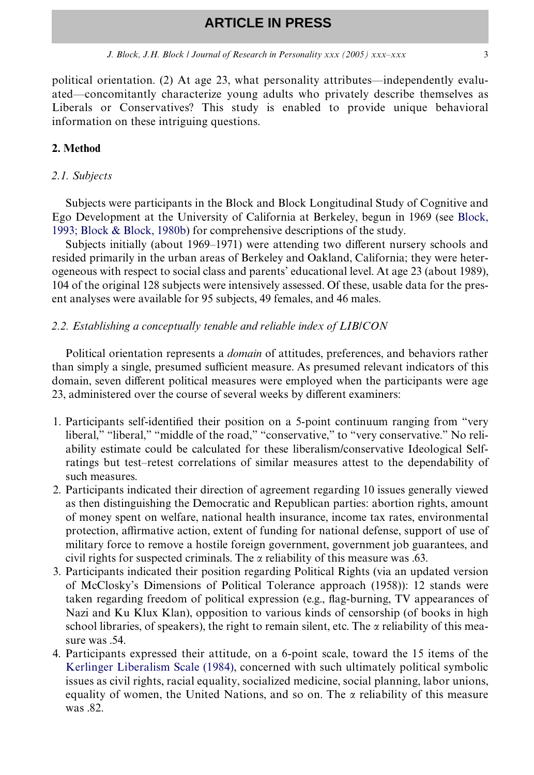*J. Block, J.H. Block | Journal of Research in Personality xxx (2005) xxx–xxx* 3

political orientation. (2) At age 23, what personality attributes—independently evaluated—concomitantly characterize young adults who privately describe themselves as Liberals or Conservatives? This study is enabled to provide unique behavioral information on these intriguing questions.

### **2. Method**

### *2.1. Subjects*

Subjects were participants in the Block and Block Longitudinal Study of Cognitive and Ego Development at the University of California at Berkeley, begun in 1969 (see [Block,](#page-13-1) [1993; Block & Block, 1980b](#page-13-1)) for comprehensive descriptions of the study.

Subjects initially (about 1969–1971) were attending two different nursery schools and resided primarily in the urban areas of Berkeley and Oakland, California; they were heterogeneous with respect to social class and parents' educational level. At age 23 (about 1989), 104 of the original 128 subjects were intensively assessed. Of these, usable data for the present analyses were available for 95 subjects, 49 females, and 46 males.

#### *2.2. Establishing a conceptually tenable and reliable index of LIB/CON*

Political orientation represents a *domain* of attitudes, preferences, and behaviors rather than simply a single, presumed sufficient measure. As presumed relevant indicators of this domain, seven different political measures were employed when the participants were age 23, administered over the course of several weeks by different examiners:

- 1. Participants self-identified their position on a 5-point continuum ranging from "very liberal," "liberal," "middle of the road," "conservative," to "very conservative." No reliability estimate could be calculated for these liberalism/conservative Ideological Selfratings but test–retest correlations of similar measures attest to the dependability of such measures.
- 2. Participants indicated their direction of agreement regarding 10 issues generally viewed as then distinguishing the Democratic and Republican parties: abortion rights, amount of money spent on welfare, national health insurance, income tax rates, environmental protection, affirmative action, extent of funding for national defense, support of use of military force to remove a hostile foreign government, government job guarantees, and civil rights for suspected criminals. The  $\alpha$  reliability of this measure was .63.
- 3. Participants indicated their position regarding Political Rights (via an updated version of McClosky's Dimensions of Political Tolerance approach (1958)): 12 stands were taken regarding freedom of political expression (e.g., flag-burning, TV appearances of Nazi and Ku Klux Klan), opposition to various kinds of censorship (of books in high school libraries, of speakers), the right to remain silent, etc. The  $\alpha$  reliability of this measure was .54.
- 4. Participants expressed their attitude, on a 6-point scale, toward the 15 items of the [Kerlinger Liberalism Scale \(1984\)](#page-14-2), concerned with such ultimately political symbolic issues as civil rights, racial equality, socialized medicine, social planning, labor unions, equality of women, the United Nations, and so on. The  $\alpha$  reliability of this measure was .82.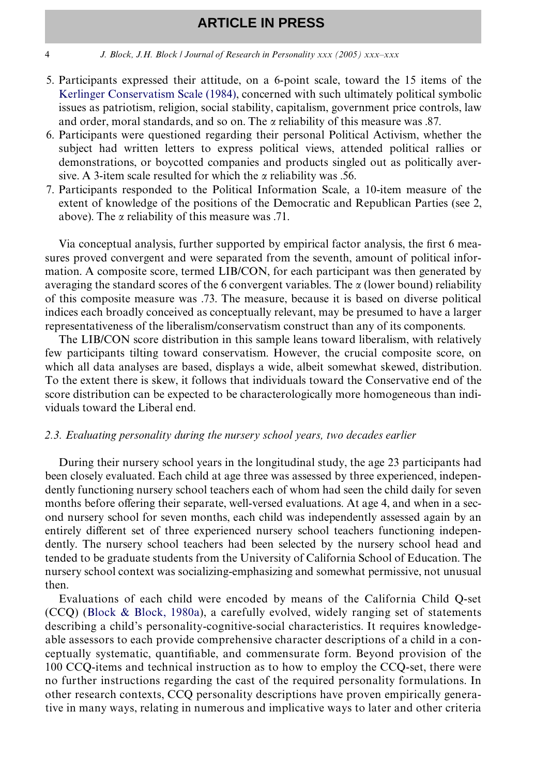#### 4 *J. Block, J.H. Block / Journal of Research in Personality xxx (2005) xxx–xxx*

- 5. Participants expressed their attitude, on a 6-point scale, toward the 15 items of the [Kerlinger Conservatism Scale \(1984\)](#page-14-2), concerned with such ultimately political symbolic issues as patriotism, religion, social stability, capitalism, government price controls, law and order, moral standards, and so on. The  $\alpha$  reliability of this measure was .87.
- 6. Participants were questioned regarding their personal Political Activism, whether the subject had written letters to express political views, attended political rallies or demonstrations, or boycotted companies and products singled out as politically aversive. A 3-item scale resulted for which the  $\alpha$  reliability was .56.
- 7. Participants responded to the Political Information Scale, a 10-item measure of the extent of knowledge of the positions of the Democratic and Republican Parties (see 2, above). The  $\alpha$  reliability of this measure was .71.

Via conceptual analysis, further supported by empirical factor analysis, the first 6 measures proved convergent and were separated from the seventh, amount of political information. A composite score, termed LIB/CON, for each participant was then generated by averaging the standard scores of the 6 convergent variables. The  $\alpha$  (lower bound) reliability of this composite measure was .73. The measure, because it is based on diverse political indices each broadly conceived as conceptually relevant, may be presumed to have a larger representativeness of the liberalism/conservatism construct than any of its components.

The LIB/CON score distribution in this sample leans toward liberalism, with relatively few participants tilting toward conservatism. However, the crucial composite score, on which all data analyses are based, displays a wide, albeit somewhat skewed, distribution. To the extent there is skew, it follows that individuals toward the Conservative end of the score distribution can be expected to be characterologically more homogeneous than individuals toward the Liberal end.

### *2.3. Evaluating personality during the nursery school years, two decades earlier*

During their nursery school years in the longitudinal study, the age 23 participants had been closely evaluated. Each child at age three was assessed by three experienced, independently functioning nursery school teachers each of whom had seen the child daily for seven months before offering their separate, well-versed evaluations. At age 4, and when in a second nursery school for seven months, each child was independently assessed again by an entirely different set of three experienced nursery school teachers functioning independently. The nursery school teachers had been selected by the nursery school head and tended to be graduate students from the University of California School of Education. The nursery school context was socializing-emphasizing and somewhat permissive, not unusual then.

Evaluations of each child were encoded by means of the California Child Q-set (CCQ) [\(Block & Block, 1980a](#page-13-2)), a carefully evolved, widely ranging set of statements describing a child's personality-cognitive-social characteristics. It requires knowledgeable assessors to each provide comprehensive character descriptions of a child in a conceptually systematic, quantifiable, and commensurate form. Beyond provision of the 100 CCQ-items and technical instruction as to how to employ the CCQ-set, there were no further instructions regarding the cast of the required personality formulations. In other research contexts, CCQ personality descriptions have proven empirically generative in many ways, relating in numerous and implicative ways to later and other criteria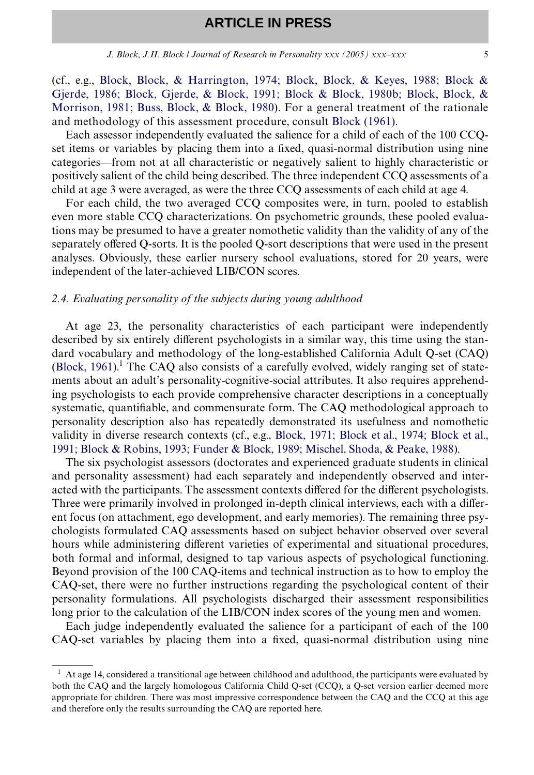(cf., e.g., [Block, Block, & Harrington, 1974; Block, Block, & Keyes, 1988; Block &](#page-13-3) [Gjerde, 1986; Block, Gjerde, & Block, 1991; Block & Block, 1980b; Block, Block, &](#page-13-3) [Morrison, 1981; Buss, Block, & Block, 1980](#page-13-3)). For a general treatment of the rationale and methodology of this assessment procedure, consult [Block \(1961\).](#page-13-4)

Each assessor independently evaluated the salience for a child of each of the 100 CCQset items or variables by placing them into a fixed, quasi-normal distribution using nine categories—from not at all characteristic or negatively salient to highly characteristic or positively salient of the child being described. The three independent CCQ assessments of a child at age 3 were averaged, as were the three CCQ assessments of each child at age 4.

For each child, the two averaged CCQ composites were, in turn, pooled to establish even more stable CCQ characterizations. On psychometric grounds, these pooled evaluations may be presumed to have a greater nomothetic validity than the validity of any of the separately offered Q-sorts. It is the pooled Q-sort descriptions that were used in the present analyses. Obviously, these earlier nursery school evaluations, stored for 20 years, were independent of the later-achieved LIB/CON scores.

#### *2.4. Evaluating personality of the subjects during young adulthood*

At age 23, the personality characteristics of each participant were independently described by six entirely different psychologists in a similar way, this time using the standard vocabulary and methodology of the long-established California Adult Q-set (CAQ) (Block,  $1961$ ).<sup>1</sup> The CAQ also consists of a carefully evolved, widely ranging set of statements about an adult's personality-cognitive-social attributes. It also requires apprehending psychologists to each provide comprehensive character descriptions in a conceptually systematic, quantifiable, and commensurate form. The CAQ methodological approach to personality description also has repeatedly demonstrated its usefulness and nomothetic validity in diverse research contexts (cf., e.g., [Block, 1971; Block et al., 1974; Block et al.,](#page-13-5) [1991; Block & Robins, 1993; Funder & Block, 1989; Mischel, Shoda, & Peake, 1988\)](#page-13-5).

The six psychologist assessors (doctorates and experienced graduate students in clinical and personality assessment) had each separately and independently observed and interacted with the participants. The assessment contexts differed for the different psychologists. Three were primarily involved in prolonged in-depth clinical interviews, each with a different focus (on attachment, ego development, and early memories). The remaining three psychologists formulated CAQ assessments based on subject behavior observed over several hours while administering different varieties of experimental and situational procedures, both formal and informal, designed to tap various aspects of psychological functioning. Beyond provision of the 100 CAQ-items and technical instruction as to how to employ the CAQ-set, there were no further instructions regarding the psychological content of their personality formulations. All psychologists discharged their assessment responsibilities long prior to the calculation of the LIB/CON index scores of the young men and women.

Each judge independently evaluated the salience for a participant of each of the 100 CAQ-set variables by placing them into a fixed, quasi-normal distribution using nine

 $<sup>1</sup>$  At age 14, considered a transitional age between childhood and adulthood, the participants were evaluated by</sup> both the CAQ and the largely homologous California Child Q-set (CCQ), a Q-set version earlier deemed more appropriate for children. There was most impressive correspondence between the CAQ and the CCQ at this age and therefore only the results surrounding the CAQ are reported here.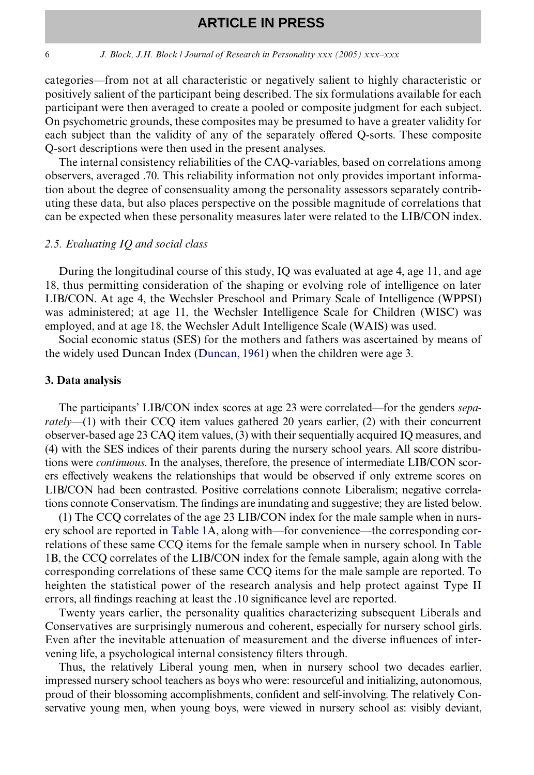#### 6 *J. Block, J.H. Block / Journal of Research in Personality xxx (2005) xxx–xxx*

categories—from not at all characteristic or negatively salient to highly characteristic or positively salient of the participant being described. The six formulations available for each participant were then averaged to create a pooled or composite judgment for each subject. On psychometric grounds, these composites may be presumed to have a greater validity for each subject than the validity of any of the separately offered Q-sorts. These composite Q-sort descriptions were then used in the present analyses.

The internal consistency reliabilities of the CAQ-variables, based on correlations among observers, averaged .70. This reliability information not only provides important information about the degree of consensuality among the personality assessors separately contributing these data, but also places perspective on the possible magnitude of correlations that can be expected when these personality measures later were related to the LIB/CON index.

### *2.5. Evaluating IQ and social class*

During the longitudinal course of this study, IQ was evaluated at age 4, age 11, and age 18, thus permitting consideration of the shaping or evolving role of intelligence on later LIB/CON. At age 4, the Wechsler Preschool and Primary Scale of Intelligence (WPPSI) was administered; at age 11, the Wechsler Intelligence Scale for Children (WISC) was employed, and at age 18, the Wechsler Adult Intelligence Scale (WAIS) was used.

Social economic status (SES) for the mothers and fathers was ascertained by means of the widely used Duncan Index ([Duncan, 1961\)](#page-14-3) when the children were age 3.

#### **3. Data analysis**

The participants' LIB/CON index scores at age 23 were correlated—for the genders *separately*—(1) with their CCQ item values gathered 20 years earlier, (2) with their concurrent observer-based age 23 CAQ item values, (3) with their sequentially acquired IQ measures, and (4) with the SES indices of their parents during the nursery school years. All score distributions were *continuous*. In the analyses, therefore, the presence of intermediate LIB/CON scorers effectively weakens the relationships that would be observed if only extreme scores on LIB/CON had been contrasted. Positive correlations connote Liberalism; negative correlations connote Conservatism. The findings are inundating and suggestive; they are listed below.

(1) The CCQ correlates of the age 23 LIB/CON index for the male sample when in nursery school are reported in [Table 1A](#page-6-0), along with—for convenience—the corresponding correlations of these same CCQ items for the female sample when in nursery school. In [Table](#page-6-0) [1B](#page-6-0), the CCQ correlates of the LIB/CON index for the female sample, again along with the corresponding correlations of these same CCQ items for the male sample are reported. To heighten the statistical power of the research analysis and help protect against Type II errors, all findings reaching at least the .10 significance level are reported.

Twenty years earlier, the personality qualities characterizing subsequent Liberals and Conservatives are surprisingly numerous and coherent, especially for nursery school girls. Even after the inevitable attenuation of measurement and the diverse influences of intervening life, a psychological internal consistency filters through.

Thus, the relatively Liberal young men, when in nursery school two decades earlier, impressed nursery school teachers as boys who were: resourceful and initializing, autonomous, proud of their blossoming accomplishments, confident and self-involving. The relatively Conservative young men, when young boys, were viewed in nursery school as: visibly deviant,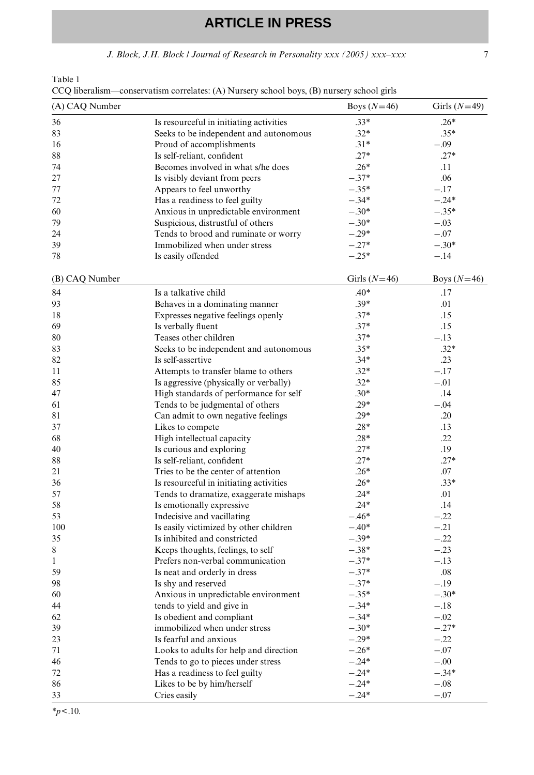*J. Block, J.H. Block / Journal of Research in Personality xxx (2005) xxx–xxx* 7

<span id="page-6-0"></span>Table 1

| (A) CAQ Number |                                                            | Boys $(N=46)$      | Girls $(N=49)$    |
|----------------|------------------------------------------------------------|--------------------|-------------------|
| 36             | Is resourceful in initiating activities                    | $.33*$             | $.26*$            |
| 83             | Seeks to be independent and autonomous                     | $.32*$             | $.35*$            |
| 16             | Proud of accomplishments                                   | $.31*$             | $-.09$            |
| 88             | Is self-reliant, confident                                 | $.27*$             | $.27*$            |
| 74             | Becomes involved in what s/he does                         | $.26*$             | .11               |
| 27             | Is visibly deviant from peers                              | $-.37*$            | .06               |
| 77             | Appears to feel unworthy                                   | $-.35*$            | $-.17$            |
| 72             | Has a readiness to feel guilty                             | $-.34*$            | $-.24*$           |
| 60             | Anxious in unpredictable environment                       | $-.30*$            | $-.35*$           |
| 79             | Suspicious, distrustful of others                          | $-.30*$            | $-.03$            |
| 24             | Tends to brood and ruminate or worry                       | $-.29*$            | $-.07$            |
| 39             | Immobilized when under stress                              | $-.27*$            | $-.30*$           |
| 78             | Is easily offended                                         | $-.25*$            | $-.14$            |
| (B) CAQ Number |                                                            | Girls $(N=46)$     | Boys $(N=46)$     |
| 84             | Is a talkative child                                       | $.40*$             | .17               |
| 93             | Behaves in a dominating manner                             | $.39*$             | .01               |
| 18             | Expresses negative feelings openly                         | $.37*$             | .15               |
| 69             | Is verbally fluent                                         | $.37*$             | .15               |
| 80             | Teases other children                                      | $.37*$             | $-.13$            |
| 83             | Seeks to be independent and autonomous                     | $.35*$             | $.32*$            |
| 82             | Is self-assertive                                          | $.34*$             | .23               |
| 11             | Attempts to transfer blame to others                       | $.32*$             | $-.17$            |
| 85             | Is aggressive (physically or verbally)                     | $.32*$             | $-.01$            |
| 47             | High standards of performance for self                     | $.30*$             | .14               |
| 61             | Tends to be judgmental of others                           | $.29*$             | $-.04$            |
| 81             | Can admit to own negative feelings                         | $.29*$             | .20               |
| 37             | Likes to compete                                           | $.28*$             | .13               |
| 68             | High intellectual capacity                                 | $.28*$             | .22               |
| 40             | Is curious and exploring                                   | $.27*$             | .19               |
| 88             | Is self-reliant, confident                                 | $.27*$             | $.27*$            |
| 21             | Tries to be the center of attention                        | $.26*$             | .07               |
| 36             | Is resourceful in initiating activities                    | $.26*$             | $.33*$            |
| 57             | Tends to dramatize, exaggerate mishaps                     | $.24*$             | .01               |
| 58             | Is emotionally expressive                                  | $.24*$             | .14               |
| 53             | Indecisive and vacillating                                 | $-.46*$            | $-.22$            |
| 100            | Is easily victimized by other children                     | $-.40*$            | $-.21$            |
| 35             | Is inhibited and constricted                               | $-.39*$            | $-.22$            |
| $\,$ 8 $\,$    | Keeps thoughts, feelings, to self                          | $-.38*$            | $-.23$            |
| 1              | Prefers non-verbal communication                           | $-.37*$            | $-.13$            |
| 59             | Is neat and orderly in dress                               | $-.37*$            | .08               |
| 98             | Is shy and reserved                                        | $-.37*$            | $-.19$            |
| 60             | Anxious in unpredictable environment                       | $-.35*$            | $-.30*$           |
|                |                                                            |                    |                   |
| 44             | tends to yield and give in                                 | $-.34*$<br>$-.34*$ | $-.18$            |
| 62<br>39       | Is obedient and compliant<br>immobilized when under stress | $-.30*$            | $-.02$<br>$-.27*$ |
|                |                                                            |                    |                   |
| 23             | Is fearful and anxious                                     | $-.29*$            | $-.22$            |
| 71             | Looks to adults for help and direction                     | $-.26*$            | $-.07$            |
| 46             | Tends to go to pieces under stress                         | $-.24*$            | $-.00$            |
| 72             | Has a readiness to feel guilty                             | $-.24*$            | $-.34*$           |
| 86<br>33       | Likes to be by him/herself<br>Cries easily                 | $-.24*$<br>$-.24*$ | $-.08$<br>$-.07$  |
|                |                                                            |                    |                   |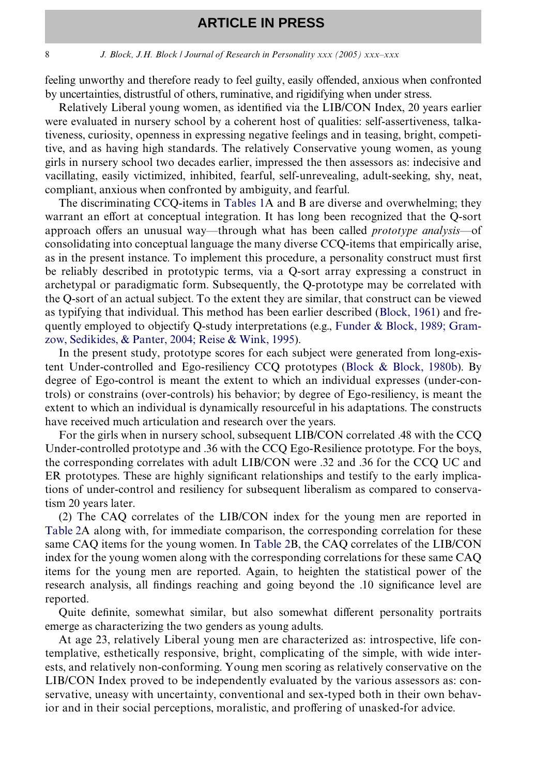#### 8 *J. Block, J.H. Block / Journal of Research in Personality xxx (2005) xxx–xxx*

feeling unworthy and therefore ready to feel guilty, easily offended, anxious when confronted by uncertainties, distrustful of others, ruminative, and rigidifying when under stress.

Relatively Liberal young women, as identified via the LIB/CON Index, 20 years earlier were evaluated in nursery school by a coherent host of qualities: self-assertiveness, talkativeness, curiosity, openness in expressing negative feelings and in teasing, bright, competitive, and as having high standards. The relatively Conservative young women, as young girls in nursery school two decades earlier, impressed the then assessors as: indecisive and vacillating, easily victimized, inhibited, fearful, self-unrevealing, adult-seeking, shy, neat, compliant, anxious when confronted by ambiguity, and fearful.

The discriminating CCQ-items in [Tables 1](#page-6-0)A and B are diverse and overwhelming; they warrant an effort at conceptual integration. It has long been recognized that the Q-sort approach offers an unusual way—through what has been called *prototype analysis*—of consolidating into conceptual language the many diverse CCQ-items that empirically arise, as in the present instance. To implement this procedure, a personality construct must first be reliably described in prototypic terms, via a Q-sort array expressing a construct in archetypal or paradigmatic form. Subsequently, the Q-prototype may be correlated with the Q-sort of an actual subject. To the extent they are similar, that construct can be viewed as typifying that individual. This method has been earlier described ([Block, 1961](#page-13-4)) and frequently employed to objectify Q-study interpretations (e.g., [Funder & Block, 1989; Gram](#page-14-4)[zow, Sedikides, & Panter, 2004; Reise & Wink, 1995](#page-14-4)).

In the present study, prototype scores for each subject were generated from long-existent Under-controlled and Ego-resiliency CCQ prototypes [\(Block & Block, 1980b](#page-14-5)). By degree of Ego-control is meant the extent to which an individual expresses (under-controls) or constrains (over-controls) his behavior; by degree of Ego-resiliency, is meant the extent to which an individual is dynamically resourceful in his adaptations. The constructs have received much articulation and research over the years.

For the girls when in nursery school, subsequent LIB/CON correlated .48 with the CCQ Under-controlled prototype and .36 with the CCQ Ego-Resilience prototype. For the boys, the corresponding correlates with adult LIB/CON were .32 and .36 for the CCQ UC and ER prototypes. These are highly significant relationships and testify to the early implications of under-control and resiliency for subsequent liberalism as compared to conservatism 20 years later.

(2) The CAQ correlates of the LIB/CON index for the young men are reported in [Table 2](#page-8-0)A along with, for immediate comparison, the corresponding correlation for these same CAQ items for the young women. In [Table 2B](#page-8-0), the CAQ correlates of the LIB/CON index for the young women along with the corresponding correlations for these same CAQ items for the young men are reported. Again, to heighten the statistical power of the research analysis, all findings reaching and going beyond the .10 significance level are reported.

Quite definite, somewhat similar, but also somewhat different personality portraits emerge as characterizing the two genders as young adults.

At age 23, relatively Liberal young men are characterized as: introspective, life contemplative, esthetically responsive, bright, complicating of the simple, with wide interests, and relatively non-conforming. Young men scoring as relatively conservative on the LIB/CON Index proved to be independently evaluated by the various assessors as: conservative, uneasy with uncertainty, conventional and sex-typed both in their own behavior and in their social perceptions, moralistic, and proffering of unasked-for advice.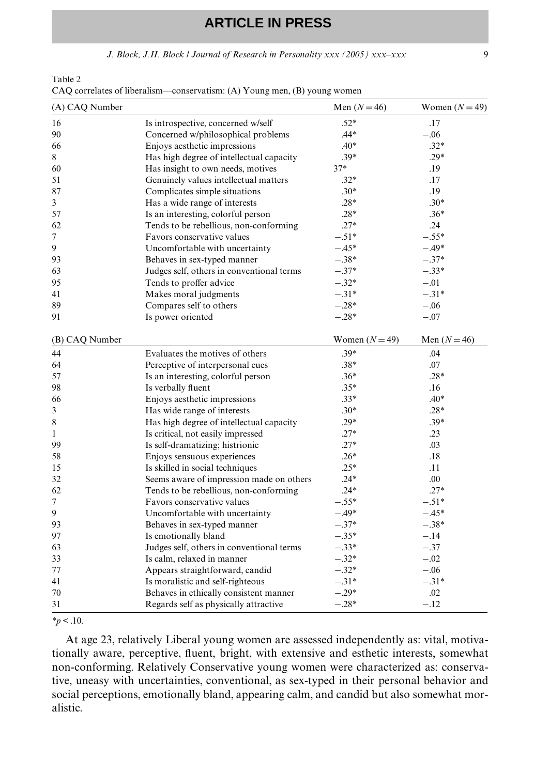*J. Block, J.H. Block | Journal of Research in Personality xxx (2005) xxx–xxx* 9

<span id="page-8-0"></span>Table 2

| CAQ correlates of liberalism—conservatism: (A) Young men, (B) young women |  |  |  |
|---------------------------------------------------------------------------|--|--|--|
|---------------------------------------------------------------------------|--|--|--|

| (A) CAQ Number |                                           | Men $(N=46)$     | Women $(N = 49)$ |
|----------------|-------------------------------------------|------------------|------------------|
| 16             | Is introspective, concerned w/self        | $.52*$           | .17              |
| 90             | Concerned w/philosophical problems        | .44*             | $-.06$           |
| 66             | Enjoys aesthetic impressions              | $.40*$           | $.32*$           |
| 8              | Has high degree of intellectual capacity  | $.39*$           | $.29*$           |
| 60             | Has insight to own needs, motives         | $37*$            | .19              |
| 51             | Genuinely values intellectual matters     | $.32*$           | .17              |
| 87             | Complicates simple situations             | $.30*$           | .19              |
| 3              | Has a wide range of interests             | $.28*$           | $.30*$           |
| 57             | Is an interesting, colorful person        | $.28*$           | $.36*$           |
| 62             | Tends to be rebellious, non-conforming    | $.27*$           | .24              |
| 7              | Favors conservative values                | $-.51*$          | $-.55*$          |
| 9              | Uncomfortable with uncertainty            | $-.45*$          | $-.49*$          |
| 93             | Behaves in sex-typed manner               | $-.38*$          | $-.37*$          |
| 63             | Judges self, others in conventional terms | $-.37*$          | $-.33*$          |
| 95             | Tends to proffer advice                   | $-.32*$          | $-.01$           |
| 41             | Makes moral judgments                     | $-.31*$          | $-.31*$          |
| 89             | Compares self to others                   | $-.28*$          | $-.06$           |
| 91             | Is power oriented                         | $-.28*$          | $-.07$           |
| (B) CAQ Number |                                           | Women $(N = 49)$ | Men $(N=46)$     |
| 44             | Evaluates the motives of others           | $.39*$           | .04              |
| 64             | Perceptive of interpersonal cues          | $.38*$           | .07              |
| 57             | Is an interesting, colorful person        | $.36*$           | $.28*$           |
| 98             | Is verbally fluent                        | $.35*$           | .16              |
| 66             | Enjoys aesthetic impressions              | $.33*$           | $.40*$           |
| 3              | Has wide range of interests               | $.30*$           | $.28*$           |
| 8              | Has high degree of intellectual capacity  | $.29*$           | $.39*$           |
| $\mathbf{1}$   | Is critical, not easily impressed         | $.27*$           | .23              |
| 99             | Is self-dramatizing; histrionic           | $.27*$           | .03              |
| 58             | Enjoys sensuous experiences               | $.26*$           | .18              |
| 15             | Is skilled in social techniques           | $.25*$           | .11              |
| 32             | Seems aware of impression made on others  | $.24*$           | .00.             |
| 62             | Tends to be rebellious, non-conforming    | $.24*$           | $.27*$           |
| 7              | Favors conservative values                | $-.55*$          | $-.51*$          |
| 9              | Uncomfortable with uncertainty            | $-.49*$          | $-.45*$          |
| 93             | Behaves in sex-typed manner               | $-.37*$          | $-.38*$          |
| 97             | Is emotionally bland                      | $-.35*$          | $-.14$           |
| 63             | Judges self, others in conventional terms | $-.33*$          | $-.37$           |
| 33             | Is calm, relaxed in manner                | $-.32*$          | $-.02$           |
| 77             | Appears straightforward, candid           | $-.32*$          | $-.06$           |
| 41             | Is moralistic and self-righteous          | $-.31*$          | $-.31*$          |
| 70             | Behaves in ethically consistent manner    | $-.29*$          | .02              |
| 31             | Regards self as physically attractive     | $-.28*$          | $-.12$           |

*\*p* < .10.

At age 23, relatively Liberal young women are assessed independently as: vital, motivationally aware, perceptive, fluent, bright, with extensive and esthetic interests, somewhat non-conforming. Relatively Conservative young women were characterized as: conservative, uneasy with uncertainties, conventional, as sex-typed in their personal behavior and social perceptions, emotionally bland, appearing calm, and candid but also somewhat moralistic.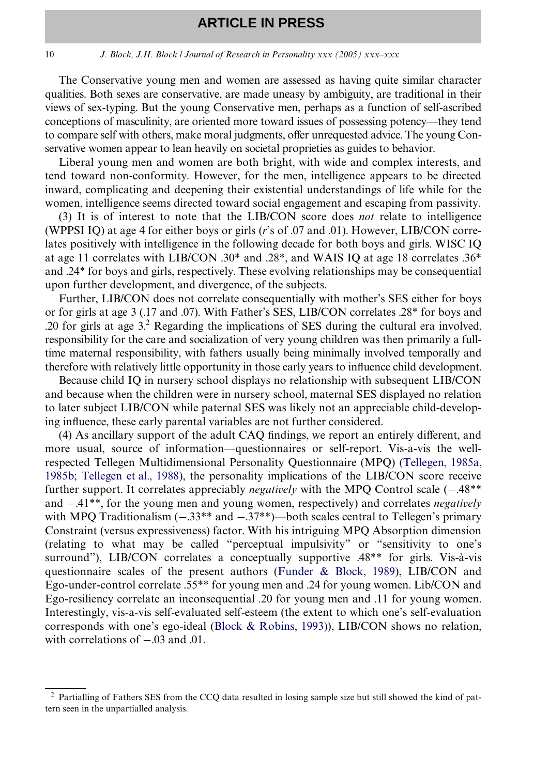#### 10 *J. Block, J.H. Block / Journal of Research in Personality xxx (2005) xxx–xxx*

The Conservative young men and women are assessed as having quite similar character qualities. Both sexes are conservative, are made uneasy by ambiguity, are traditional in their views of sex-typing. But the young Conservative men, perhaps as a function of self-ascribed conceptions of masculinity, are oriented more toward issues of possessing potency—they tend to compare self with others, make moral judgments, offer unrequested advice. The young Conservative women appear to lean heavily on societal proprieties as guides to behavior.

Liberal young men and women are both bright, with wide and complex interests, and tend toward non-conformity. However, for the men, intelligence appears to be directed inward, complicating and deepening their existential understandings of life while for the women, intelligence seems directed toward social engagement and escaping from passivity.

(3) It is of interest to note that the LIB/CON score does *not* relate to intelligence (WPPSI IQ) at age 4 for either boys or girls (*r*'s of .07 and .01). However, LIB/CON correlates positively with intelligence in the following decade for both boys and girls. WISC IQ at age 11 correlates with LIB/CON .30\* and .28\*, and WAIS IQ at age 18 correlates .36\* and .24\* for boys and girls, respectively. These evolving relationships may be consequential upon further development, and divergence, of the subjects.

Further, LIB/CON does not correlate consequentially with mother's SES either for boys or for girls at age 3 (.17 and .07). With Father's SES, LIB/CON correlates .28\* for boys and .20 for girls at age  $3$ .<sup>2</sup> Regarding the implications of SES during the cultural era involved, responsibility for the care and socialization of very young children was then primarily a fulltime maternal responsibility, with fathers usually being minimally involved temporally and therefore with relatively little opportunity in those early years to influence child development.

Because child IQ in nursery school displays no relationship with subsequent LIB/CON and because when the children were in nursery school, maternal SES displayed no relation to later subject LIB/CON while paternal SES was likely not an appreciable child-developing influence, these early parental variables are not further considered.

(4) As ancillary support of the adult CAQ findings, we report an entirely different, and more usual, source of information—questionnaires or self-report. Vis-a-vis the wellrespected Tellegen Multidimensional Personality Questionnaire (MPQ) ([Tellegen, 1985a,](#page-15-0) [1985b; Tellegen et al., 1988](#page-15-0)), the personality implications of the LIB/CON score receive further support. It correlates appreciably *negatively* with the MPQ Control scale  $(-.48**)$ and  $-.41**$ , for the young men and young women, respectively) and correlates *negatively* with MPQ Traditionalism  $(-.33** and -.37**)$ —both scales central to Tellegen's primary Constraint (versus expressiveness) factor. With his intriguing MPQ Absorption dimension (relating to what may be called "perceptual impulsivity" or "sensitivity to one's surround"), LIB/CON correlates a conceptually supportive .48\*\* for girls. Vis-à-vis questionnaire scales of the present authors ([Funder & Block, 1989\)](#page-14-4), LIB/CON and Ego-under-control correlate .55\*\* for young men and .24 for young women. Lib/CON and Ego-resiliency correlate an inconsequential .20 for young men and .11 for young women. Interestingly, vis-a-vis self-evaluated self-esteem (the extent to which one's self-evaluation corresponds with one's ego-ideal ([Block & Robins, 1993](#page-14-6))), LIB/CON shows no relation, with correlations of  $-.03$  and  $.01$ .

<sup>2</sup> Partialling of Fathers SES from the CCQ data resulted in losing sample size but still showed the kind of pattern seen in the unpartialled analysis.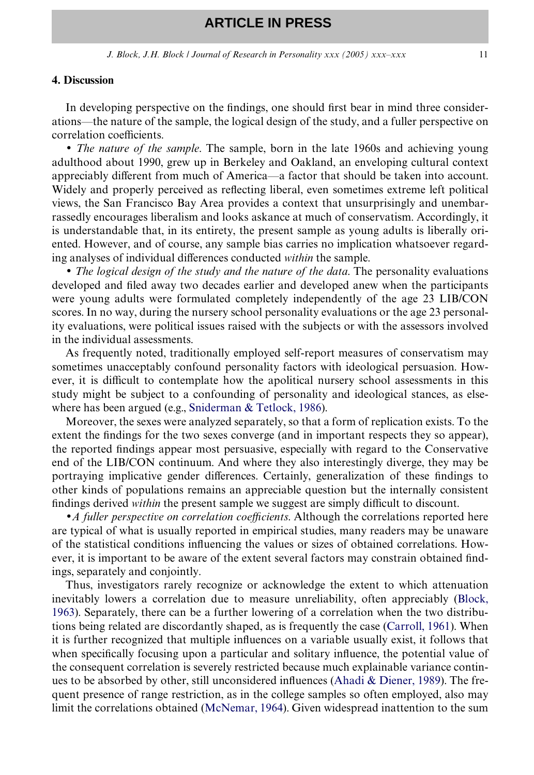#### **4. Discussion**

In developing perspective on the findings, one should first bear in mind three considerations—the nature of the sample, the logical design of the study, and a fuller perspective on correlation coefficients.

• *The nature of the sample*. The sample, born in the late 1960s and achieving young adulthood about 1990, grew up in Berkeley and Oakland, an enveloping cultural context appreciably different from much of America—a factor that should be taken into account. Widely and properly perceived as reflecting liberal, even sometimes extreme left political views, the San Francisco Bay Area provides a context that unsurprisingly and unembarrassedly encourages liberalism and looks askance at much of conservatism. Accordingly, it is understandable that, in its entirety, the present sample as young adults is liberally oriented. However, and of course, any sample bias carries no implication whatsoever regarding analyses of individual differences conducted *within* the sample.

• *The logical design of the study and the nature of the data*. The personality evaluations developed and filed away two decades earlier and developed anew when the participants were young adults were formulated completely independently of the age 23 LIB/CON scores. In no way, during the nursery school personality evaluations or the age 23 personality evaluations, were political issues raised with the subjects or with the assessors involved in the individual assessments.

As frequently noted, traditionally employed self-report measures of conservatism may sometimes unacceptably confound personality factors with ideological persuasion. However, it is difficult to contemplate how the apolitical nursery school assessments in this study might be subject to a confounding of personality and ideological stances, as elsewhere has been argued (e.g., [Sniderman & Tetlock, 1986\)](#page-15-1).

Moreover, the sexes were analyzed separately, so that a form of replication exists. To the extent the findings for the two sexes converge (and in important respects they so appear), the reported findings appear most persuasive, especially with regard to the Conservative end of the LIB/CON continuum. And where they also interestingly diverge, they may be portraying implicative gender differences. Certainly, generalization of these findings to other kinds of populations remains an appreciable question but the internally consistent findings derived *within* the present sample we suggest are simply difficult to discount.

•*A fuller perspective on correlation coefficients*. Although the correlations reported here are typical of what is usually reported in empirical studies, many readers may be unaware of the statistical conditions influencing the values or sizes of obtained correlations. However, it is important to be aware of the extent several factors may constrain obtained findings, separately and conjointly.

Thus, investigators rarely recognize or acknowledge the extent to which attenuation inevitably lowers a correlation due to measure unreliability, often appreciably [\(Block,](#page-13-6) [1963](#page-13-6)). Separately, there can be a further lowering of a correlation when the two distributions being related are discordantly shaped, as is frequently the case [\(Carroll, 1961\)](#page-14-7). When it is further recognized that multiple influences on a variable usually exist, it follows that when specifically focusing upon a particular and solitary influence, the potential value of the consequent correlation is severely restricted because much explainable variance continues to be absorbed by other, still unconsidered influences (Ahadi  $\&$  Diener, 1989). The frequent presence of range restriction, as in the college samples so often employed, also may limit the correlations obtained ([McNemar, 1964](#page-14-8)). Given widespread inattention to the sum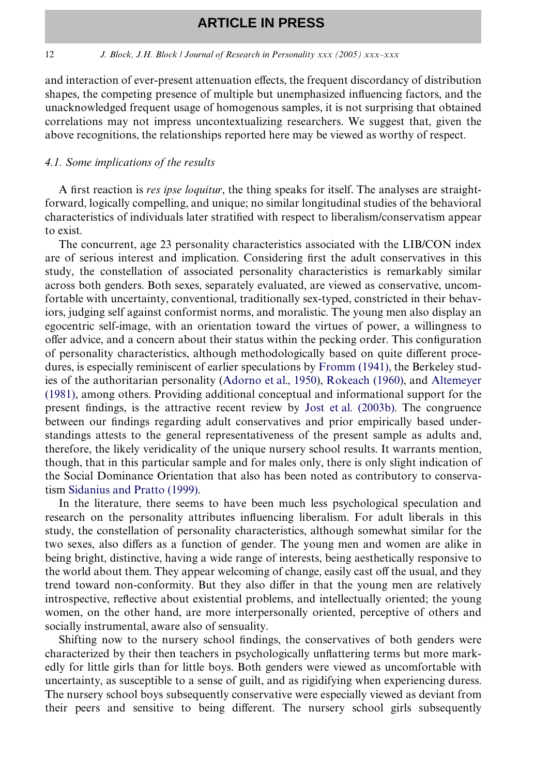#### 12 *J. Block, J.H. Block / Journal of Research in Personality xxx (2005) xxx–xxx*

and interaction of ever-present attenuation effects, the frequent discordancy of distribution shapes, the competing presence of multiple but unemphasized influencing factors, and the unacknowledged frequent usage of homogenous samples, it is not surprising that obtained correlations may not impress uncontextualizing researchers. We suggest that, given the above recognitions, the relationships reported here may be viewed as worthy of respect.

#### *4.1. Some implications of the results*

A first reaction is *res ipse loquitur*, the thing speaks for itself. The analyses are straightforward, logically compelling, and unique; no similar longitudinal studies of the behavioral characteristics of individuals later stratified with respect to liberalism/conservatism appear to exist.

The concurrent, age 23 personality characteristics associated with the LIB/CON index are of serious interest and implication. Considering first the adult conservatives in this study, the constellation of associated personality characteristics is remarkably similar across both genders. Both sexes, separately evaluated, are viewed as conservative, uncomfortable with uncertainty, conventional, traditionally sex-typed, constricted in their behaviors, judging self against conformist norms, and moralistic. The young men also display an egocentric self-image, with an orientation toward the virtues of power, a willingness to offer advice, and a concern about their status within the pecking order. This configuration of personality characteristics, although methodologically based on quite different procedures, is especially reminiscent of earlier speculations by [Fromm \(1941\),](#page-14-0) the Berkeley studies of the authoritarian personality ([Adorno et al., 1950\)](#page-13-8), [Rokeach \(1960\),](#page-14-9) and [Altemeyer](#page-13-0) [\(1981\)](#page-13-0), among others. Providing additional conceptual and informational support for the present findings, is the attractive recent review by Jost et al.  $(2003b)$ . The congruence between our findings regarding adult conservatives and prior empirically based understandings attests to the general representativeness of the present sample as adults and, therefore, the likely veridicality of the unique nursery school results. It warrants mention, though, that in this particular sample and for males only, there is only slight indication of the Social Dominance Orientation that also has been noted as contributory to conservatism [Sidanius and Pratto \(1999\).](#page-15-2)

In the literature, there seems to have been much less psychological speculation and research on the personality attributes influencing liberalism. For adult liberals in this study, the constellation of personality characteristics, although somewhat similar for the two sexes, also differs as a function of gender. The young men and women are alike in being bright, distinctive, having a wide range of interests, being aesthetically responsive to the world about them. They appear welcoming of change, easily cast off the usual, and they trend toward non-conformity. But they also differ in that the young men are relatively introspective, reflective about existential problems, and intellectually oriented; the young women, on the other hand, are more interpersonally oriented, perceptive of others and socially instrumental, aware also of sensuality.

Shifting now to the nursery school findings, the conservatives of both genders were characterized by their then teachers in psychologically unflattering terms but more markedly for little girls than for little boys. Both genders were viewed as uncomfortable with uncertainty, as susceptible to a sense of guilt, and as rigidifying when experiencing duress. The nursery school boys subsequently conservative were especially viewed as deviant from their peers and sensitive to being different. The nursery school girls subsequently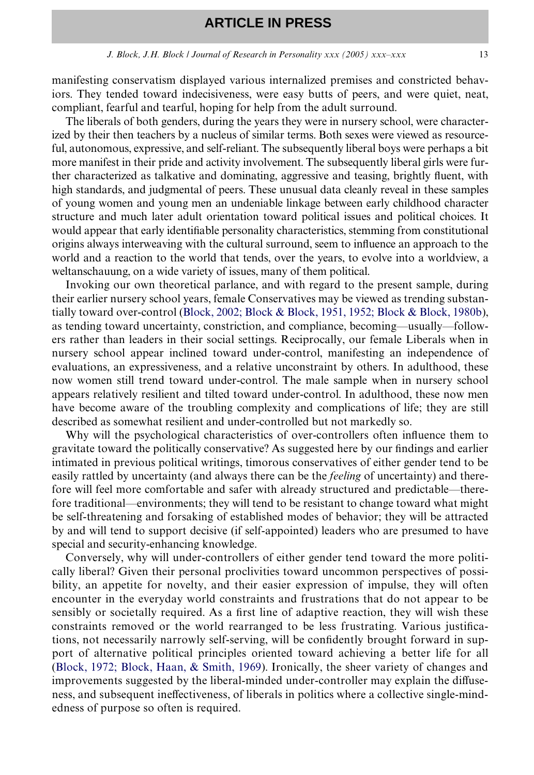manifesting conservatism displayed various internalized premises and constricted behaviors. They tended toward indecisiveness, were easy butts of peers, and were quiet, neat, compliant, fearful and tearful, hoping for help from the adult surround.

The liberals of both genders, during the years they were in nursery school, were characterized by their then teachers by a nucleus of similar terms. Both sexes were viewed as resourceful, autonomous, expressive, and self-reliant. The subsequently liberal boys were perhaps a bit more manifest in their pride and activity involvement. The subsequently liberal girls were further characterized as talkative and dominating, aggressive and teasing, brightly fluent, with high standards, and judgmental of peers. These unusual data cleanly reveal in these samples of young women and young men an undeniable linkage between early childhood character structure and much later adult orientation toward political issues and political choices. It would appear that early identifiable personality characteristics, stemming from constitutional origins always interweaving with the cultural surround, seem to influence an approach to the world and a reaction to the world that tends, over the years, to evolve into a worldview, a weltanschauung, on a wide variety of issues, many of them political.

Invoking our own theoretical parlance, and with regard to the present sample, during their earlier nursery school years, female Conservatives may be viewed as trending substantially toward over-control [\(Block, 2002; Block & Block, 1951, 1952; Block & Block, 1980b\)](#page-13-9), as tending toward uncertainty, constriction, and compliance, becoming—usually—followers rather than leaders in their social settings. Reciprocally, our female Liberals when in nursery school appear inclined toward under-control, manifesting an independence of evaluations, an expressiveness, and a relative unconstraint by others. In adulthood, these now women still trend toward under-control. The male sample when in nursery school appears relatively resilient and tilted toward under-control. In adulthood, these now men have become aware of the troubling complexity and complications of life; they are still described as somewhat resilient and under-controlled but not markedly so.

Why will the psychological characteristics of over-controllers often influence them to gravitate toward the politically conservative? As suggested here by our findings and earlier intimated in previous political writings, timorous conservatives of either gender tend to be easily rattled by uncertainty (and always there can be the *feeling* of uncertainty) and therefore will feel more comfortable and safer with already structured and predictable—therefore traditional—environments; they will tend to be resistant to change toward what might be self-threatening and forsaking of established modes of behavior; they will be attracted by and will tend to support decisive (if self-appointed) leaders who are presumed to have special and security-enhancing knowledge.

Conversely, why will under-controllers of either gender tend toward the more politically liberal? Given their personal proclivities toward uncommon perspectives of possibility, an appetite for novelty, and their easier expression of impulse, they will often encounter in the everyday world constraints and frustrations that do not appear to be sensibly or societally required. As a first line of adaptive reaction, they will wish these constraints removed or the world rearranged to be less frustrating. Various justifications, not necessarily narrowly self-serving, will be confidently brought forward in support of alternative political principles oriented toward achieving a better life for all ([Block, 1972; Block, Haan, & Smith, 1969](#page-14-11)). Ironically, the sheer variety of changes and improvements suggested by the liberal-minded under-controller may explain the diffuseness, and subsequent ineffectiveness, of liberals in politics where a collective single-mindedness of purpose so often is required.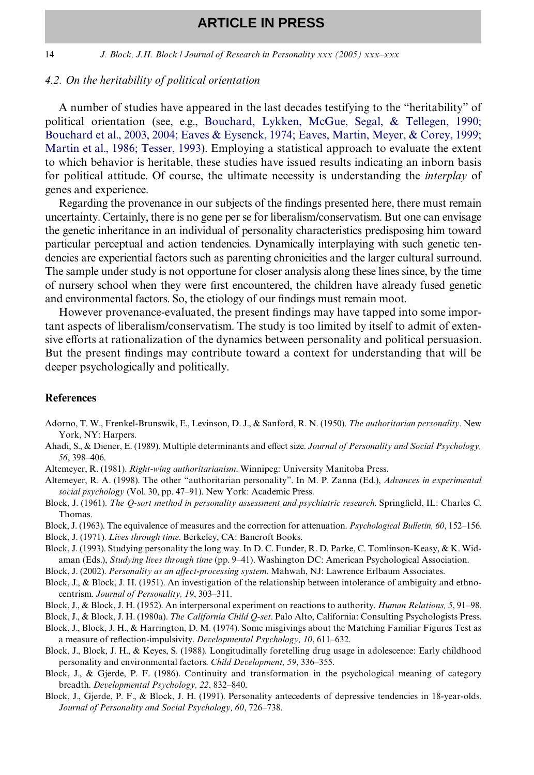14 *J. Block, J.H. Block / Journal of Research in Personality xxx (2005) xxx–xxx*

#### *4.2. On the heritability of political orientation*

A number of studies have appeared in the last decades testifying to the "heritability" of political orientation (see, e.g., [Bouchard, Lykken, McGue, Segal, & Tellegen, 1990;](#page-14-12) [Bouchard et al., 2003, 2004; Eaves & Eysenck, 1974; Eaves, Martin, Meyer, & Corey, 1999;](#page-14-12) [Martin et al., 1986; Tesser, 1993](#page-14-12)). Employing a statistical approach to evaluate the extent to which behavior is heritable, these studies have issued results indicating an inborn basis for political attitude. Of course, the ultimate necessity is understanding the *interplay* of genes and experience.

Regarding the provenance in our subjects of the findings presented here, there must remain uncertainty. Certainly, there is no gene per se for liberalism/conservatism. But one can envisage the genetic inheritance in an individual of personality characteristics predisposing him toward particular perceptual and action tendencies. Dynamically interplaying with such genetic tendencies are experiential factors such as parenting chronicities and the larger cultural surround. The sample under study is not opportune for closer analysis along these lines since, by the time of nursery school when they were first encountered, the children have already fused genetic and environmental factors. So, the etiology of our findings must remain moot.

However provenance-evaluated, the present findings may have tapped into some important aspects of liberalism/conservatism. The study is too limited by itself to admit of extensive efforts at rationalization of the dynamics between personality and political persuasion. But the present findings may contribute toward a context for understanding that will be deeper psychologically and politically.

#### **References**

- <span id="page-13-8"></span>Adorno, T. W., Frenkel-Brunswik, E., Levinson, D. J., & Sanford, R. N. (1950). *The authoritarian personality*. New York, NY: Harpers.
- <span id="page-13-7"></span>Ahadi, S., & Diener, E. (1989). Multiple determinants and effect size. Journal of Personality and Social Psychology, *56*, 398–406.
- <span id="page-13-0"></span>Altemeyer, R. (1981). *Right-wing authoritarianism*. Winnipeg: University Manitoba Press.
- Altemeyer, R. A. (1998). The other "authoritarian personality". In M. P. Zanna (Ed.), *Advances in experimental social psychology* (Vol. 30, pp. 47–91). New York: Academic Press.
- <span id="page-13-4"></span>Block, J. (1961). *The Q-sort method in personality assessment and psychiatric research*. Springfield, IL: Charles C. Thomas.
- <span id="page-13-6"></span>Block, J. (1963). The equivalence of measures and the correction for attenuation. *Psychological Bulletin, 60*, 152–156.
- <span id="page-13-5"></span>Block, J. (1971). *Lives through time*. Berkeley, CA: Bancroft Books.
- <span id="page-13-1"></span>Block, J. (1993). Studying personality the long way. In D. C. Funder, R. D. Parke, C. Tomlinson-Keasy, & K. Widaman (Eds.), *Studying lives through time* (pp. 9–41). Washington DC: American Psychological Association.
- <span id="page-13-9"></span>Block, J. (2002). *Personality as an affect-processing system*. Mahwah, NJ: Lawrence Erlbaum Associates.
- Block, J., & Block, J. H. (1951). An investigation of the relationship between intolerance of ambiguity and ethnocentrism. *Journal of Personality, 19*, 303–311.
- Block, J., & Block, J. H. (1952). An interpersonal experiment on reactions to authority. *Human Relations, 5*, 91–98.
- <span id="page-13-2"></span>Block, J., & Block, J. H. (1980a). *The California Child Q-set*. Palo Alto, California: Consulting Psychologists Press.
- <span id="page-13-3"></span>Block, J., Block, J. H., & Harrington, D. M. (1974). Some misgivings about the Matching Familiar Figures Test as a measure of reflection-impulsivity. *Developmental Psychology, 10*, 611–632.
- Block, J., Block, J. H., & Keyes, S. (1988). Longitudinally foretelling drug usage in adolescence: Early childhood personality and environmental factors. *Child Development, 59*, 336–355.
- Block, J., & Gjerde, P. F. (1986). Continuity and transformation in the psychological meaning of category breadth. *Developmental Psychology, 22*, 832–840.
- Block, J., Gjerde, P. F., & Block, J. H. (1991). Personality antecedents of depressive tendencies in 18-year-olds. *Journal of Personality and Social Psychology, 60*, 726–738.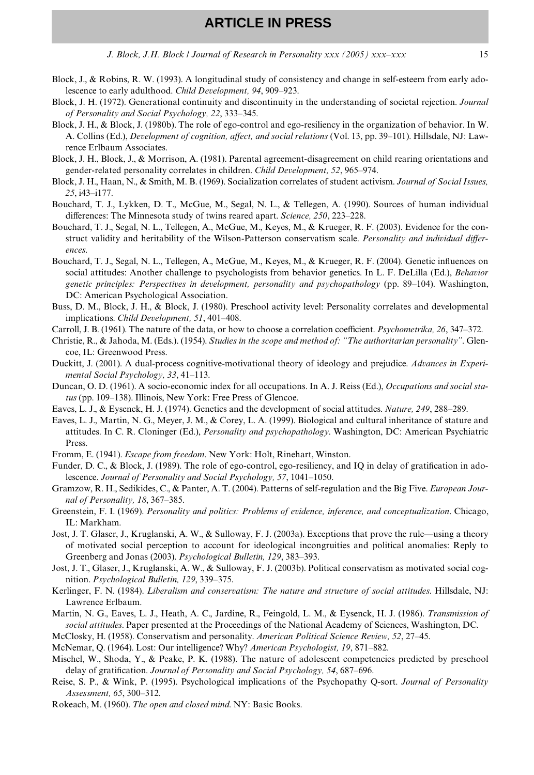*J. Block, J.H. Block | Journal of Research in Personality xxx (2005) xxx–xxx* 15

- <span id="page-14-6"></span>Block, J., & Robins, R. W. (1993). A longitudinal study of consistency and change in self-esteem from early adolescence to early adulthood. *Child Development, 94*, 909–923.
- <span id="page-14-11"></span>Block, J. H. (1972). Generational continuity and discontinuity in the understanding of societal rejection. *Journal of Personality and Social Psychology, 22*, 333–345.
- <span id="page-14-5"></span>Block, J. H., & Block, J. (1980b). The role of ego-control and ego-resiliency in the organization of behavior. In W. A. Collins (Ed.), *Development of cognition, affect, and social relations* (Vol. 13, pp. 39–101). Hillsdale, NJ: Lawrence Erlbaum Associates.
- Block, J. H., Block, J., & Morrison, A. (1981). Parental agreement-disagreement on child rearing orientations and gender-related personality correlates in children. *Child Development, 52*, 965–974.
- Block, J. H., Haan, N., & Smith, M. B. (1969). Socialization correlates of student activism. *Journal of Social Issues, 25*, i43–i177.
- <span id="page-14-12"></span>Bouchard, T. J., Lykken, D. T., McGue, M., Segal, N. L., & Tellegen, A. (1990). Sources of human individual differences: The Minnesota study of twins reared apart. *Science*, 250, 223–228.
- Bouchard, T. J., Segal, N. L., Tellegen, A., McGue, M., Keyes, M., & Krueger, R. F. (2003). Evidence for the construct validity and heritability of the Wilson-Patterson conservatism scale. Personality and individual differ*ences*.
- Bouchard, T. J., Segal, N. L., Tellegen, A., McGue, M., Keyes, M., & Krueger, R. F. (2004). Genetic influences on social attitudes: Another challenge to psychologists from behavior genetics. In L. F. DeLilla (Ed.), *Behavior genetic principles: Perspectives in development, personality and psychopathology* (pp. 89–104). Washington, DC: American Psychological Association.
- Buss, D. M., Block, J. H., & Block, J. (1980). Preschool activity level: Personality correlates and developmental implications. *Child Development, 51*, 401–408.
- <span id="page-14-7"></span>Carroll, J. B. (1961). The nature of the data, or how to choose a correlation coefficient. *Psychometrika*, 26, 347–372.
- Christie, R., & Jahoda, M. (Eds.). (1954). *Studies in the scope and method of: "The authoritarian personality"*. Glencoe, IL: Greenwood Press.
- Duckitt, J. (2001). A dual-process cognitive-motivational theory of ideology and prejudice. *Advances in Experimental Social Psychology, 33*, 41–113.
- <span id="page-14-3"></span>Duncan, O. D. (1961). A socio-economic index for all occupations. In A. J. Reiss (Ed.), *Occupations and social status* (pp. 109–138). Illinois, New York: Free Press of Glencoe.
- Eaves, L. J., & Eysenck, H. J. (1974). Genetics and the development of social attitudes. *Nature, 249*, 288–289.
- Eaves, L. J., Martin, N. G., Meyer, J. M., & Corey, L. A. (1999). Biological and cultural inheritance of stature and attitudes. In C. R. Cloninger (Ed.), *Personality and psychopathology*. Washington, DC: American Psychiatric Press.
- <span id="page-14-0"></span>Fromm, E. (1941). *Escape from freedom*. New York: Holt, Rinehart, Winston.
- <span id="page-14-4"></span>Funder, D. C., & Block, J. (1989). The role of ego-control, ego-resiliency, and IQ in delay of gratification in adolescence. *Journal of Personality and Social Psychology, 57*, 1041–1050.
- Gramzow, R. H., Sedikides, C., & Panter, A. T. (2004). Patterns of self-regulation and the Big Five. *European Journal of Personality, 18*, 367–385.
- Greenstein, F. I. (1969). *Personality and politics: Problems of evidence, inference, and conceptualization*. Chicago, IL: Markham.
- <span id="page-14-1"></span>Jost, J. T. Glaser, J., Kruglanski, A. W., & Sulloway, F. J. (2003a). Exceptions that prove the rule—using a theory of motivated social perception to account for ideological incongruities and political anomalies: Reply to Greenberg and Jonas (2003). *Psychological Bulletin, 129*, 383–393.
- <span id="page-14-10"></span>Jost, J. T., Glaser, J., Kruglanski, A. W., & Sulloway, F. J. (2003b). Political conservatism as motivated social cognition. *Psychological Bulletin, 129*, 339–375.
- <span id="page-14-2"></span>Kerlinger, F. N. (1984). *Liberalism and conservatism: The nature and structure of social attitudes*. Hillsdale, NJ: Lawrence Erlbaum.
- Martin, N. G., Eaves, L. J., Heath, A. C., Jardine, R., Feingold, L. M., & Eysenck, H. J. (1986). *Transmission of social attitudes*. Paper presented at the Proceedings of the National Academy of Sciences, Washington, DC.

McClosky, H. (1958). Conservatism and personality. *American Political Science Review, 52*, 27–45.

- <span id="page-14-8"></span>McNemar, Q. (1964). Lost: Our intelligence? Why? *American Psychologist, 19*, 871–882.
- Mischel, W., Shoda, Y., & Peake, P. K. (1988). The nature of adolescent competencies predicted by preschool delay of gratification. *Journal of Personality and Social Psychology, 54, 687–696.*
- Reise, S. P., & Wink, P. (1995). Psychological implications of the Psychopathy Q-sort. *Journal of Personality Assessment, 65*, 300–312.
- <span id="page-14-9"></span>Rokeach, M. (1960). *The open and closed mind*. NY: Basic Books.